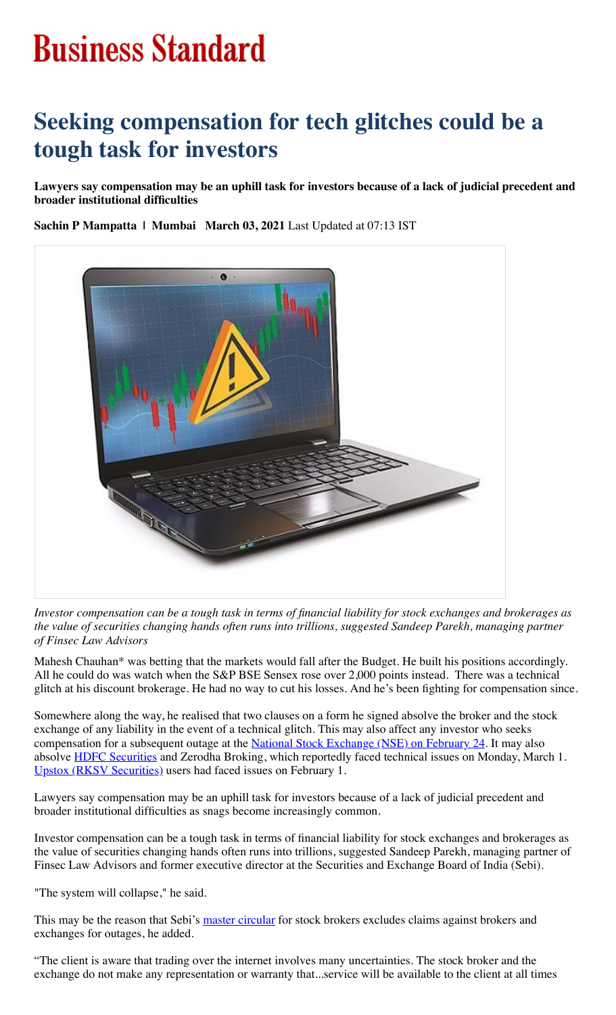## **Business Standard**

## **Seeking compensation for tech glitches could be a tough task for investors**

**Lawyers say compensation may be an uphill task for investors because of a lack of judicial precedent and broader institutional difficulties**

**Sachin P Mampatta | Mumbai March 03, 2021** Last Updated at 07:13 IST



*Investor compensation can be a tough task in terms of financial liability for stock exchanges and brokerages as the value of securities changing hands often runs into trillions, suggested Sandeep Parekh, managing partner of Finsec Law Advisors*

Mahesh Chauhan\* was betting that the markets would fall after the Budget. He built his positions accordingly. All he could do was watch when the S&P BSE Sensex rose over 2,000 points instead. There was a technical glitch at his discount brokerage. He had no way to cut his losses. And he's been fighting for compensation since.

Somewhere along the way, he realised that two clauses on a form he signed absolve the broker and the stock exchange of any liability in the event of a technical glitch. This may also affect any investor who seeks compensation for a subsequent outage at the [National Stock Exchange \(NSE\) on February 24.](https://static.nseindia.com/s3fs-public/2021-02/PR_cc_26022021.pdf) It may also absolve [HDFC Securities](https://www.hindustantimes.com/business/glitch-probe-on-at-hdfc-securities-zerodha-faces-snag-101614648677250.html) and Zerodha Broking, which reportedly faced technical issues on Monday, March 1. [Upstox \(RKSV Securities\)](https://web.archive.org/web/20210224130848/https:/upstox.com/announcements/system-downtime/) users had faced issues on February 1.

Lawyers say compensation may be an uphill task for investors because of a lack of judicial precedent and broader institutional difficulties as snags become increasingly common.

Investor compensation can be a tough task in terms of financial liability for stock exchanges and brokerages as the value of securities changing hands often runs into trillions, suggested Sandeep Parekh, managing partner of Finsec Law Advisors and former executive director at the Securities and Exchange Board of India (Sebi).

"The system will collapse," he said.

This may be the reason that Sebi's [master circular](https://www.sebi.gov.in/legal/master-circulars/jun-2018/master-circular-for-stock-brokers_39166.html) for stock brokers excludes claims against brokers and exchanges for outages, he added.

"The client is aware that trading over the internet involves many uncertainties. The stock broker and the exchange do not make any representation or warranty that...service will be available to the client at all times